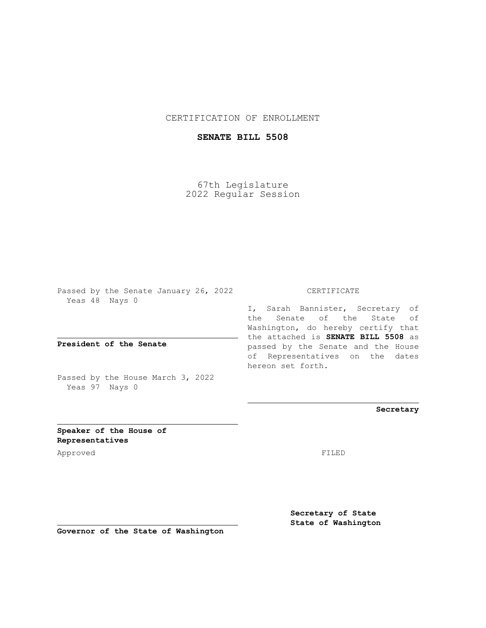## CERTIFICATION OF ENROLLMENT

## **SENATE BILL 5508**

67th Legislature 2022 Regular Session

Passed by the Senate January 26, 2022 Yeas 48 Nays 0

**President of the Senate**

Passed by the House March 3, 2022 Yeas 97 Nays 0

CERTIFICATE

I, Sarah Bannister, Secretary of the Senate of the State of Washington, do hereby certify that the attached is **SENATE BILL 5508** as passed by the Senate and the House of Representatives on the dates hereon set forth.

**Secretary**

**Speaker of the House of Representatives**

Approved FILED

**Secretary of State State of Washington**

**Governor of the State of Washington**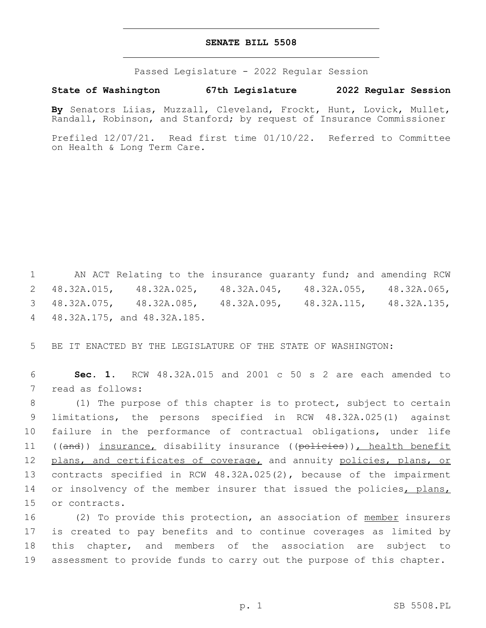## **SENATE BILL 5508**

Passed Legislature - 2022 Regular Session

**State of Washington 67th Legislature 2022 Regular Session**

**By** Senators Liias, Muzzall, Cleveland, Frockt, Hunt, Lovick, Mullet, Randall, Robinson, and Stanford; by request of Insurance Commissioner

Prefiled 12/07/21. Read first time 01/10/22. Referred to Committee on Health & Long Term Care.

 AN ACT Relating to the insurance guaranty fund; and amending RCW 48.32A.015, 48.32A.025, 48.32A.045, 48.32A.055, 48.32A.065, 48.32A.075, 48.32A.085, 48.32A.095, 48.32A.115, 48.32A.135, 48.32A.175, and 48.32A.185.4

5 BE IT ENACTED BY THE LEGISLATURE OF THE STATE OF WASHINGTON:

6 **Sec. 1.** RCW 48.32A.015 and 2001 c 50 s 2 are each amended to 7 read as follows:

8 (1) The purpose of this chapter is to protect, subject to certain 9 limitations, the persons specified in RCW 48.32A.025(1) against 10 failure in the performance of contractual obligations, under life 11 ((and)) insurance, disability insurance ((policies)), health benefit 12 plans, and certificates of coverage, and annuity policies, plans, or 13 contracts specified in RCW 48.32A.025(2), because of the impairment 14 or insolvency of the member insurer that issued the policies, plans, 15 or contracts.

16 (2) To provide this protection, an association of member insurers is created to pay benefits and to continue coverages as limited by this chapter, and members of the association are subject to assessment to provide funds to carry out the purpose of this chapter.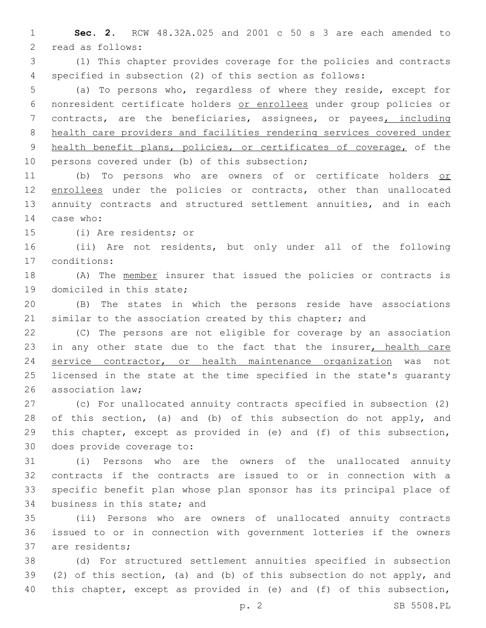**Sec. 2.** RCW 48.32A.025 and 2001 c 50 s 3 are each amended to 2 read as follows:

 (1) This chapter provides coverage for the policies and contracts specified in subsection (2) of this section as follows:

 (a) To persons who, regardless of where they reside, except for nonresident certificate holders or enrollees under group policies or contracts, are the beneficiaries, assignees, or payees, including health care providers and facilities rendering services covered under health benefit plans, policies, or certificates of coverage, of the 10 persons covered under (b) of this subsection;

11 (b) To persons who are owners of or certificate holders or 12 enrollees under the policies or contracts, other than unallocated annuity contracts and structured settlement annuities, and in each 14 case who:

15 (i) Are residents; or

 (ii) Are not residents, but only under all of the following conditions:17

 (A) The member insurer that issued the policies or contracts is 19 domiciled in this state;

 (B) The states in which the persons reside have associations 21 similar to the association created by this chapter; and

 (C) The persons are not eligible for coverage by an association 23 in any other state due to the fact that the insurer, health care service contractor, or health maintenance organization was not licensed in the state at the time specified in the state's guaranty 26 association law:

 (c) For unallocated annuity contracts specified in subsection (2) 28 of this section, (a) and (b) of this subsection do not apply, and this chapter, except as provided in (e) and (f) of this subsection, 30 does provide coverage to:

 (i) Persons who are the owners of the unallocated annuity contracts if the contracts are issued to or in connection with a specific benefit plan whose plan sponsor has its principal place of 34 business in this state; and

 (ii) Persons who are owners of unallocated annuity contracts issued to or in connection with government lotteries if the owners 37 are residents;

 (d) For structured settlement annuities specified in subsection (2) of this section, (a) and (b) of this subsection do not apply, and this chapter, except as provided in (e) and (f) of this subsection,

p. 2 SB 5508.PL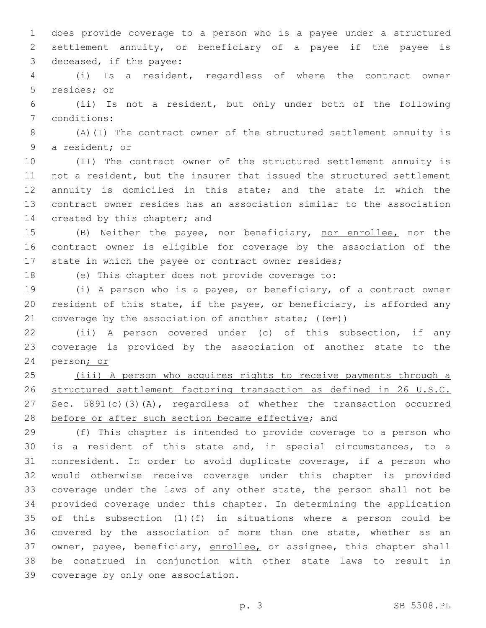does provide coverage to a person who is a payee under a structured settlement annuity, or beneficiary of a payee if the payee is 3 deceased, if the payee:

 (i) Is a resident, regardless of where the contract owner 5 resides; or

 (ii) Is not a resident, but only under both of the following 7 conditions:

 (A)(I) The contract owner of the structured settlement annuity is 9 a resident; or

 (II) The contract owner of the structured settlement annuity is not a resident, but the insurer that issued the structured settlement annuity is domiciled in this state; and the state in which the contract owner resides has an association similar to the association 14 created by this chapter; and

 (B) Neither the payee, nor beneficiary, nor enrollee, nor the contract owner is eligible for coverage by the association of the state in which the payee or contract owner resides;

(e) This chapter does not provide coverage to:

 (i) A person who is a payee, or beneficiary, of a contract owner resident of this state, if the payee, or beneficiary, is afforded any 21 coverage by the association of another state;  $((e^x))$ 

 (ii) A person covered under (c) of this subsection, if any coverage is provided by the association of another state to the person; or

 (iii) A person who acquires rights to receive payments through a structured settlement factoring transaction as defined in 26 U.S.C. 27 Sec. 5891(c)(3)(A), regardless of whether the transaction occurred 28 before or after such section became effective; and

 (f) This chapter is intended to provide coverage to a person who is a resident of this state and, in special circumstances, to a nonresident. In order to avoid duplicate coverage, if a person who would otherwise receive coverage under this chapter is provided coverage under the laws of any other state, the person shall not be provided coverage under this chapter. In determining the application of this subsection (1)(f) in situations where a person could be covered by the association of more than one state, whether as an 37 owner, payee, beneficiary, enrollee, or assignee, this chapter shall be construed in conjunction with other state laws to result in 39 coverage by only one association.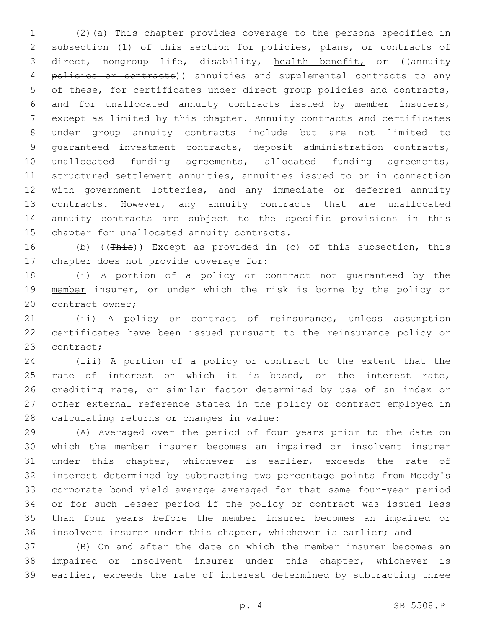(2)(a) This chapter provides coverage to the persons specified in subsection (1) of this section for policies, plans, or contracts of 3 direct, nongroup life, disability, health benefit, or ((annuity 4 policies or contracts)) annuities and supplemental contracts to any of these, for certificates under direct group policies and contracts, and for unallocated annuity contracts issued by member insurers, except as limited by this chapter. Annuity contracts and certificates under group annuity contracts include but are not limited to guaranteed investment contracts, deposit administration contracts, unallocated funding agreements, allocated funding agreements, structured settlement annuities, annuities issued to or in connection with government lotteries, and any immediate or deferred annuity contracts. However, any annuity contracts that are unallocated annuity contracts are subject to the specific provisions in this 15 chapter for unallocated annuity contracts.

16 (b) ((This)) Except as provided in (c) of this subsection, this 17 chapter does not provide coverage for:

 (i) A portion of a policy or contract not guaranteed by the 19 member insurer, or under which the risk is borne by the policy or 20 contract owner;

 (ii) A policy or contract of reinsurance, unless assumption certificates have been issued pursuant to the reinsurance policy or 23 contract;

 (iii) A portion of a policy or contract to the extent that the 25 rate of interest on which it is based, or the interest rate, crediting rate, or similar factor determined by use of an index or other external reference stated in the policy or contract employed in 28 calculating returns or changes in value:

 (A) Averaged over the period of four years prior to the date on which the member insurer becomes an impaired or insolvent insurer under this chapter, whichever is earlier, exceeds the rate of interest determined by subtracting two percentage points from Moody's corporate bond yield average averaged for that same four-year period or for such lesser period if the policy or contract was issued less than four years before the member insurer becomes an impaired or insolvent insurer under this chapter, whichever is earlier; and

 (B) On and after the date on which the member insurer becomes an impaired or insolvent insurer under this chapter, whichever is earlier, exceeds the rate of interest determined by subtracting three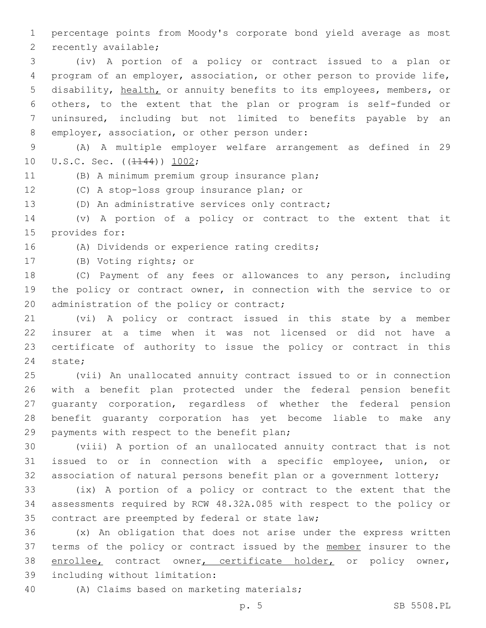1 percentage points from Moody's corporate bond yield average as most 2 recently available;

 (iv) A portion of a policy or contract issued to a plan or program of an employer, association, or other person to provide life, disability, health, or annuity benefits to its employees, members, or others, to the extent that the plan or program is self-funded or uninsured, including but not limited to benefits payable by an 8 employer, association, or other person under:

9 (A) A multiple employer welfare arrangement as defined in 29 10 U.S.C. Sec. ((1144)) 1002;

(B) A minimum premium group insurance plan;

12 (C) A stop-loss group insurance plan; or

13 (D) An administrative services only contract;

14 (v) A portion of a policy or contract to the extent that it 15 provides for:

16 (A) Dividends or experience rating credits;

17 (B) Voting rights; or

18 (C) Payment of any fees or allowances to any person, including 19 the policy or contract owner, in connection with the service to or 20 administration of the policy or contract;

 (vi) A policy or contract issued in this state by a member insurer at a time when it was not licensed or did not have a certificate of authority to issue the policy or contract in this 24 state;

 (vii) An unallocated annuity contract issued to or in connection with a benefit plan protected under the federal pension benefit guaranty corporation, regardless of whether the federal pension benefit guaranty corporation has yet become liable to make any 29 payments with respect to the benefit plan;

30 (viii) A portion of an unallocated annuity contract that is not 31 issued to or in connection with a specific employee, union, or 32 association of natural persons benefit plan or a government lottery;

33 (ix) A portion of a policy or contract to the extent that the 34 assessments required by RCW 48.32A.085 with respect to the policy or 35 contract are preempted by federal or state law;

36 (x) An obligation that does not arise under the express written 37 terms of the policy or contract issued by the member insurer to the 38 enrollee, contract owner, certificate holder, or policy owner, 39 including without limitation:

40 (A) Claims based on marketing materials;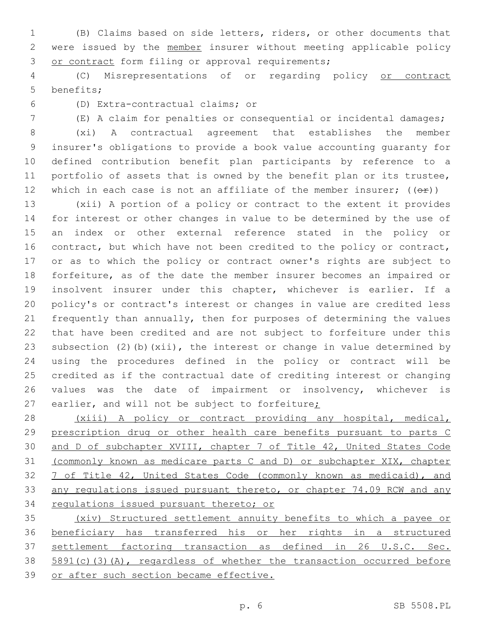(B) Claims based on side letters, riders, or other documents that 2 were issued by the member insurer without meeting applicable policy 3 or contract form filing or approval requirements;

 (C) Misrepresentations of or regarding policy or contract 5 benefits;

(D) Extra-contractual claims; or6

(E) A claim for penalties or consequential or incidental damages;

 (xi) A contractual agreement that establishes the member insurer's obligations to provide a book value accounting guaranty for defined contribution benefit plan participants by reference to a portfolio of assets that is owned by the benefit plan or its trustee, 12 which in each case is not an affiliate of the member insurer;  $((\theta \hat{r}))$ 

 (xii) A portion of a policy or contract to the extent it provides for interest or other changes in value to be determined by the use of an index or other external reference stated in the policy or 16 contract, but which have not been credited to the policy or contract, or as to which the policy or contract owner's rights are subject to forfeiture, as of the date the member insurer becomes an impaired or insolvent insurer under this chapter, whichever is earlier. If a policy's or contract's interest or changes in value are credited less frequently than annually, then for purposes of determining the values that have been credited and are not subject to forfeiture under this subsection (2)(b)(xii), the interest or change in value determined by using the procedures defined in the policy or contract will be credited as if the contractual date of crediting interest or changing values was the date of impairment or insolvency, whichever is 27 earlier, and will not be subject to forfeiture;

 (xiii) A policy or contract providing any hospital, medical, prescription drug or other health care benefits pursuant to parts C 30 and D of subchapter XVIII, chapter 7 of Title 42, United States Code (commonly known as medicare parts C and D) or subchapter XIX, chapter 7 of Title 42, United States Code (commonly known as medicaid), and any regulations issued pursuant thereto, or chapter 74.09 RCW and any regulations issued pursuant thereto; or

 (xiv) Structured settlement annuity benefits to which a payee or beneficiary has transferred his or her rights in a structured settlement factoring transaction as defined in 26 U.S.C. Sec. 5891(c)(3)(A), regardless of whether the transaction occurred before or after such section became effective.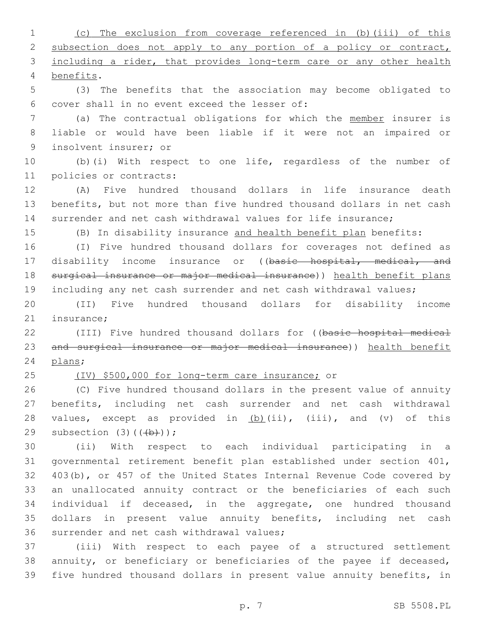(c) The exclusion from coverage referenced in (b)(iii) of this 2 subsection does not apply to any portion of a policy or contract, 3 including a rider, that provides long-term care or any other health benefits.4

 (3) The benefits that the association may become obligated to 6 cover shall in no event exceed the lesser of:

 (a) The contractual obligations for which the member insurer is liable or would have been liable if it were not an impaired or 9 insolvent insurer; or

 (b)(i) With respect to one life, regardless of the number of 11 policies or contracts:

 (A) Five hundred thousand dollars in life insurance death benefits, but not more than five hundred thousand dollars in net cash surrender and net cash withdrawal values for life insurance;

(B) In disability insurance and health benefit plan benefits:

 (I) Five hundred thousand dollars for coverages not defined as 17 disability income insurance or ((basic hospital, medical, and surgical insurance or major medical insurance)) health benefit plans including any net cash surrender and net cash withdrawal values;

 (II) Five hundred thousand dollars for disability income 21 insurance:

 (III) Five hundred thousand dollars for ((basic hospital medical and surgical insurance or major medical insurance)) health benefit 24 plans;

(IV) \$500,000 for long-term care insurance; or

 (C) Five hundred thousand dollars in the present value of annuity benefits, including net cash surrender and net cash withdrawal 28 values, except as provided in (b)(ii), (iii), and (v) of this 29 subsection  $(3)$   $((+b))$ ;

 (ii) With respect to each individual participating in a governmental retirement benefit plan established under section 401, 403(b), or 457 of the United States Internal Revenue Code covered by an unallocated annuity contract or the beneficiaries of each such individual if deceased, in the aggregate, one hundred thousand dollars in present value annuity benefits, including net cash 36 surrender and net cash withdrawal values;

 (iii) With respect to each payee of a structured settlement annuity, or beneficiary or beneficiaries of the payee if deceased, five hundred thousand dollars in present value annuity benefits, in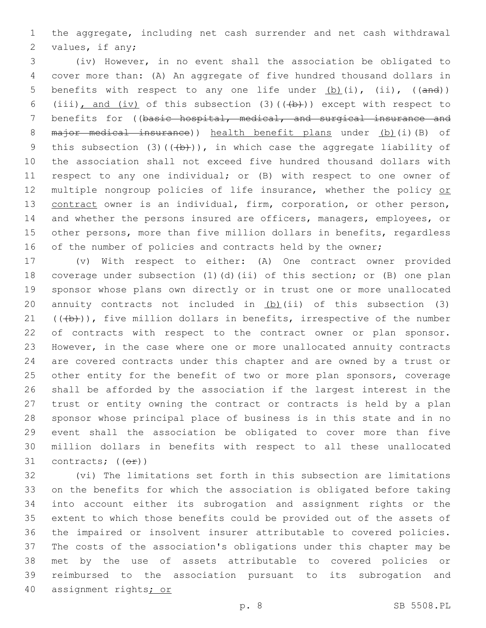the aggregate, including net cash surrender and net cash withdrawal 2 values, if any;

 (iv) However, in no event shall the association be obligated to cover more than: (A) An aggregate of five hundred thousand dollars in 5 benefits with respect to any one life under  $(b)$  (i), (ii), ((and)) 6 (iii), and (iv) of this subsection (3)( $(\overline{+b})$ ) except with respect to 7 benefits for ((basic hospital, medical, and surgical insurance and 8 major medical insurance)) health benefit plans under (b)(i)(B) of 9 this subsection (3)( $(\frac{1}{b})$ ), in which case the aggregate liability of the association shall not exceed five hundred thousand dollars with respect to any one individual; or (B) with respect to one owner of 12 multiple nongroup policies of life insurance, whether the policy or contract owner is an individual, firm, corporation, or other person, and whether the persons insured are officers, managers, employees, or other persons, more than five million dollars in benefits, regardless 16 of the number of policies and contracts held by the owner;

 (v) With respect to either: (A) One contract owner provided coverage under subsection (1)(d)(ii) of this section; or (B) one plan sponsor whose plans own directly or in trust one or more unallocated 20 annuity contracts not included in  $(b)$  (ii) of this subsection (3)  $((+b))$ , five million dollars in benefits, irrespective of the number 22 of contracts with respect to the contract owner or plan sponsor. However, in the case where one or more unallocated annuity contracts are covered contracts under this chapter and are owned by a trust or 25 other entity for the benefit of two or more plan sponsors, coverage shall be afforded by the association if the largest interest in the trust or entity owning the contract or contracts is held by a plan sponsor whose principal place of business is in this state and in no event shall the association be obligated to cover more than five million dollars in benefits with respect to all these unallocated 31 contracts;  $((\theta \hat{r}))$ 

 (vi) The limitations set forth in this subsection are limitations on the benefits for which the association is obligated before taking into account either its subrogation and assignment rights or the extent to which those benefits could be provided out of the assets of the impaired or insolvent insurer attributable to covered policies. The costs of the association's obligations under this chapter may be met by the use of assets attributable to covered policies or reimbursed to the association pursuant to its subrogation and assignment rights; or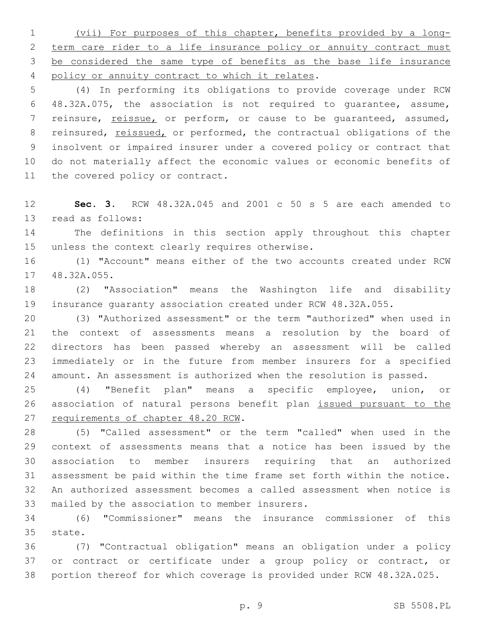(vii) For purposes of this chapter, benefits provided by a long-2 term care rider to a life insurance policy or annuity contract must be considered the same type of benefits as the base life insurance 4 policy or annuity contract to which it relates.

 (4) In performing its obligations to provide coverage under RCW 48.32A.075, the association is not required to guarantee, assume, reinsure, reissue, or perform, or cause to be guaranteed, assumed, 8 reinsured, reissued, or performed, the contractual obligations of the insolvent or impaired insurer under a covered policy or contract that do not materially affect the economic values or economic benefits of 11 the covered policy or contract.

 **Sec. 3.** RCW 48.32A.045 and 2001 c 50 s 5 are each amended to 13 read as follows:

 The definitions in this section apply throughout this chapter 15 unless the context clearly requires otherwise.

 (1) "Account" means either of the two accounts created under RCW 17 48.32A.055.

 (2) "Association" means the Washington life and disability insurance guaranty association created under RCW 48.32A.055.

 (3) "Authorized assessment" or the term "authorized" when used in the context of assessments means a resolution by the board of directors has been passed whereby an assessment will be called immediately or in the future from member insurers for a specified amount. An assessment is authorized when the resolution is passed.

 (4) "Benefit plan" means a specific employee, union, or association of natural persons benefit plan issued pursuant to the 27 requirements of chapter 48.20 RCW.

 (5) "Called assessment" or the term "called" when used in the context of assessments means that a notice has been issued by the association to member insurers requiring that an authorized assessment be paid within the time frame set forth within the notice. An authorized assessment becomes a called assessment when notice is 33 mailed by the association to member insurers.

 (6) "Commissioner" means the insurance commissioner of this 35 state.

 (7) "Contractual obligation" means an obligation under a policy or contract or certificate under a group policy or contract, or portion thereof for which coverage is provided under RCW 48.32A.025.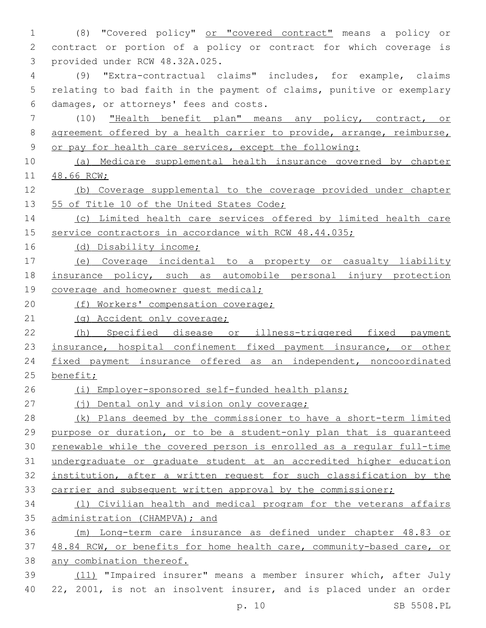(8) "Covered policy" or "covered contract" means a policy or contract or portion of a policy or contract for which coverage is 3 provided under RCW 48.32A.025. (9) "Extra-contractual claims" includes, for example, claims relating to bad faith in the payment of claims, punitive or exemplary damages, or attorneys' fees and costs.6 (10) "Health benefit plan" means any policy, contract, or 8 agreement offered by a health carrier to provide, arrange, reimburse, or pay for health care services, except the following: (a) Medicare supplemental health insurance governed by chapter 48.66 RCW; (b) Coverage supplemental to the coverage provided under chapter 13 55 of Title 10 of the United States Code; (c) Limited health care services offered by limited health care 15 service contractors in accordance with RCW 48.44.035; (d) Disability income; (e) Coverage incidental to a property or casualty liability insurance policy, such as automobile personal injury protection 19 coverage and homeowner quest medical; 20 (f) Workers' compensation coverage; 21 (g) Accident only coverage; (h) Specified disease or illness-triggered fixed payment 23 insurance, hospital confinement fixed payment insurance, or other fixed payment insurance offered as an independent, noncoordinated benefit; (i) Employer-sponsored self-funded health plans; 27 (i) Dental only and vision only coverage; 28 (k) Plans deemed by the commissioner to have a short-term limited purpose or duration, or to be a student-only plan that is guaranteed renewable while the covered person is enrolled as a regular full-time undergraduate or graduate student at an accredited higher education institution, after a written request for such classification by the 33 carrier and subsequent written approval by the commissioner; (l) Civilian health and medical program for the veterans affairs administration (CHAMPVA); and (m) Long-term care insurance as defined under chapter 48.83 or 48.84 RCW, or benefits for home health care, community-based care, or any combination thereof. (11) "Impaired insurer" means a member insurer which, after July 22, 2001, is not an insolvent insurer, and is placed under an order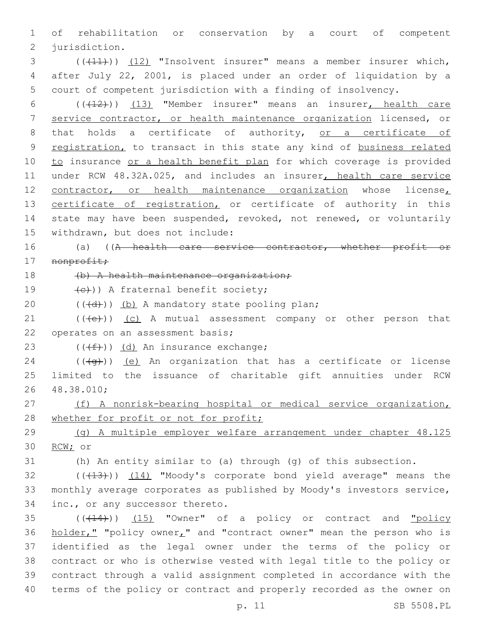1 of rehabilitation or conservation by a court of competent 2 jurisdiction.

3 (((41))) (12) "Insolvent insurer" means a member insurer which, 4 after July 22, 2001, is placed under an order of liquidation by a 5 court of competent jurisdiction with a finding of insolvency.

6 (((12)) (13) "Member insurer" means an insurer, health care 7 service contractor, or health maintenance organization licensed, or 8 that holds a certificate of authority, or a certificate of 9 registration, to transact in this state any kind of business related 10 to insurance or a health benefit plan for which coverage is provided 11 under RCW 48.32A.025, and includes an insurer, health care service 12 contractor, or health maintenance organization whose license, 13 certificate of registration, or certificate of authority in this 14 state may have been suspended, revoked, not renewed, or voluntarily 15 withdrawn, but does not include:

16 (a) ((A health care service contractor, whether profit or 17 nonprofit;

18 (b) A health maintenance organization;

19  $(e)$ )) A fraternal benefit society;

20  $((\{d\}) \times (b)$  A mandatory state pooling plan;

 $(1)$  (( $\left(\frac{1}{1}e\right)$ ) (c) A mutual assessment company or other person that 22 operates on an assessment basis;

23  $((f+))$   $(d)$  An insurance exchange;

24 ( $(\overline{q})$ ) <u>(e)</u> An organization that has a certificate or license 25 limited to the issuance of charitable gift annuities under RCW 48.38.010;26

27 (f) A nonrisk-bearing hospital or medical service organization, 28 whether for profit or not for profit;

29 (g) A multiple employer welfare arrangement under chapter 48.125 30 RCW; or

31 (h) An entity similar to (a) through (g) of this subsection.

32 (((413))) (14) "Moody's corporate bond yield average" means the 33 monthly average corporates as published by Moody's investors service, 34 inc., or any successor thereto.

 ( $(\overline{+14})$ )  $(15)$  "Owner" of a policy or contract and "policy 36 holder," "policy owner," and "contract owner" mean the person who is identified as the legal owner under the terms of the policy or contract or who is otherwise vested with legal title to the policy or contract through a valid assignment completed in accordance with the terms of the policy or contract and properly recorded as the owner on

p. 11 SB 5508.PL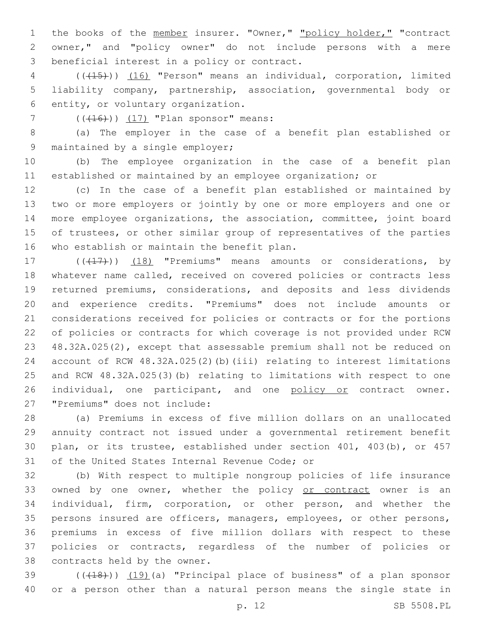1 the books of the member insurer. "Owner," "policy holder," "contract owner," and "policy owner" do not include persons with a mere 3 beneficial interest in a policy or contract.

 (((15))) (16) "Person" means an individual, corporation, limited liability company, partnership, association, governmental body or 6 entity, or voluntary organization.

7  $((416))$   $(17)$  "Plan sponsor" means:

 (a) The employer in the case of a benefit plan established or 9 maintained by a single employer;

 (b) The employee organization in the case of a benefit plan established or maintained by an employee organization; or

 (c) In the case of a benefit plan established or maintained by two or more employers or jointly by one or more employers and one or more employee organizations, the association, committee, joint board of trustees, or other similar group of representatives of the parties 16 who establish or maintain the benefit plan.

17 (((17))) (18) "Premiums" means amounts or considerations, by whatever name called, received on covered policies or contracts less returned premiums, considerations, and deposits and less dividends and experience credits. "Premiums" does not include amounts or considerations received for policies or contracts or for the portions of policies or contracts for which coverage is not provided under RCW 48.32A.025(2), except that assessable premium shall not be reduced on account of RCW 48.32A.025(2)(b)(iii) relating to interest limitations and RCW 48.32A.025(3)(b) relating to limitations with respect to one 26 individual, one participant, and one policy or contract owner. 27 "Premiums" does not include:

 (a) Premiums in excess of five million dollars on an unallocated annuity contract not issued under a governmental retirement benefit plan, or its trustee, established under section 401, 403(b), or 457 31 of the United States Internal Revenue Code; or

 (b) With respect to multiple nongroup policies of life insurance 33 owned by one owner, whether the policy or contract owner is an individual, firm, corporation, or other person, and whether the persons insured are officers, managers, employees, or other persons, premiums in excess of five million dollars with respect to these policies or contracts, regardless of the number of policies or 38 contracts held by the owner.

39 (((418))) (19)(a) "Principal place of business" of a plan sponsor or a person other than a natural person means the single state in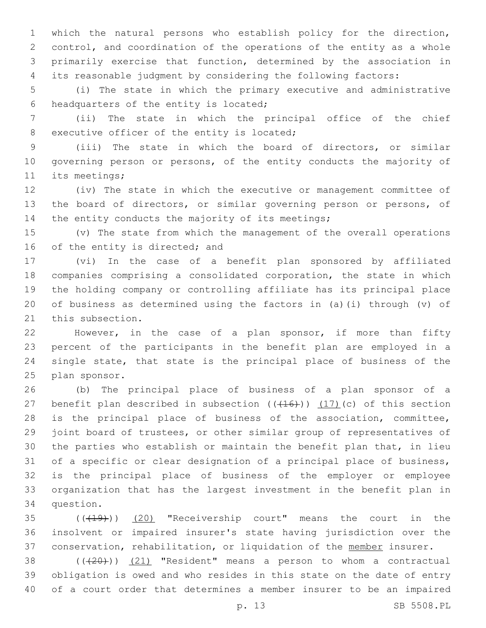which the natural persons who establish policy for the direction, control, and coordination of the operations of the entity as a whole primarily exercise that function, determined by the association in its reasonable judgment by considering the following factors:

 (i) The state in which the primary executive and administrative 6 headquarters of the entity is located;

 (ii) The state in which the principal office of the chief 8 executive officer of the entity is located;

 (iii) The state in which the board of directors, or similar governing person or persons, of the entity conducts the majority of 11 its meetings;

 (iv) The state in which the executive or management committee of the board of directors, or similar governing person or persons, of 14 the entity conducts the majority of its meetings;

 (v) The state from which the management of the overall operations 16 of the entity is directed; and

 (vi) In the case of a benefit plan sponsored by affiliated companies comprising a consolidated corporation, the state in which the holding company or controlling affiliate has its principal place of business as determined using the factors in (a)(i) through (v) of 21 this subsection.

 However, in the case of a plan sponsor, if more than fifty percent of the participants in the benefit plan are employed in a single state, that state is the principal place of business of the 25 plan sponsor.

 (b) The principal place of business of a plan sponsor of a 27 benefit plan described in subsection  $((+16))$   $(17)$  (c) of this section is the principal place of business of the association, committee, joint board of trustees, or other similar group of representatives of the parties who establish or maintain the benefit plan that, in lieu of a specific or clear designation of a principal place of business, is the principal place of business of the employer or employee organization that has the largest investment in the benefit plan in 34 question.

 ( $(\overline{+19})$ )  $(20)$  "Receivership court" means the court in the insolvent or impaired insurer's state having jurisdiction over the 37 conservation, rehabilitation, or liquidation of the member insurer.

 ( $(\overline{+20})$ )  $(21)$  "Resident" means a person to whom a contractual obligation is owed and who resides in this state on the date of entry of a court order that determines a member insurer to be an impaired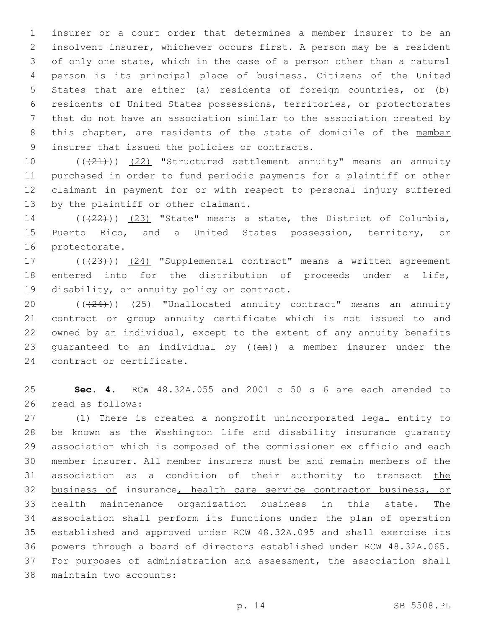insurer or a court order that determines a member insurer to be an insolvent insurer, whichever occurs first. A person may be a resident of only one state, which in the case of a person other than a natural person is its principal place of business. Citizens of the United States that are either (a) residents of foreign countries, or (b) residents of United States possessions, territories, or protectorates that do not have an association similar to the association created by 8 this chapter, are residents of the state of domicile of the member 9 insurer that issued the policies or contracts.

10 (((21))) (22) "Structured settlement annuity" means an annuity purchased in order to fund periodic payments for a plaintiff or other claimant in payment for or with respect to personal injury suffered 13 by the plaintiff or other claimant.

14  $((+22))$   $(23)$  "State" means a state, the District of Columbia, Puerto Rico, and a United States possession, territory, or 16 protectorate.

17 (((23))) (24) "Supplemental contract" means a written agreement entered into for the distribution of proceeds under a life, 19 disability, or annuity policy or contract.

20 (((24))) (25) "Unallocated annuity contract" means an annuity contract or group annuity certificate which is not issued to and owned by an individual, except to the extent of any annuity benefits 23 quaranteed to an individual by  $((an))$  a member insurer under the 24 contract or certificate.

 **Sec. 4.** RCW 48.32A.055 and 2001 c 50 s 6 are each amended to read as follows:26

 (1) There is created a nonprofit unincorporated legal entity to be known as the Washington life and disability insurance guaranty association which is composed of the commissioner ex officio and each member insurer. All member insurers must be and remain members of the 31 association as a condition of their authority to transact the business of insurance, health care service contractor business, or health maintenance organization business in this state. The association shall perform its functions under the plan of operation established and approved under RCW 48.32A.095 and shall exercise its powers through a board of directors established under RCW 48.32A.065. For purposes of administration and assessment, the association shall 38 maintain two accounts: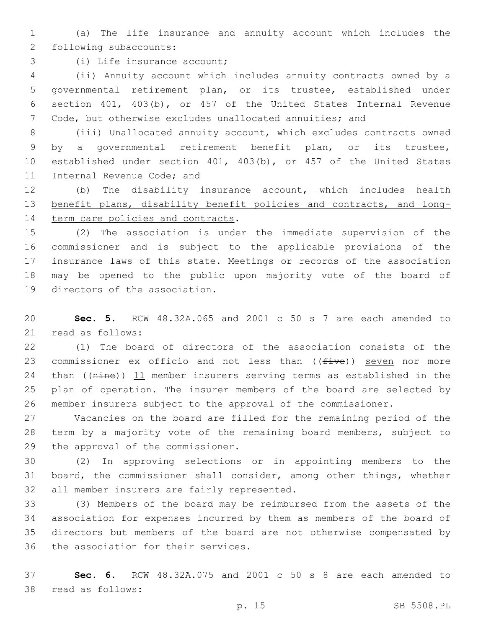(a) The life insurance and annuity account which includes the 2 following subaccounts:

3 (i) Life insurance account;

 (ii) Annuity account which includes annuity contracts owned by a governmental retirement plan, or its trustee, established under section 401, 403(b), or 457 of the United States Internal Revenue Code, but otherwise excludes unallocated annuities; and

 (iii) Unallocated annuity account, which excludes contracts owned by a governmental retirement benefit plan, or its trustee, established under section 401, 403(b), or 457 of the United States 11 Internal Revenue Code; and

 (b) The disability insurance account, which includes health benefit plans, disability benefit policies and contracts, and long-14 term care policies and contracts.

 (2) The association is under the immediate supervision of the commissioner and is subject to the applicable provisions of the insurance laws of this state. Meetings or records of the association may be opened to the public upon majority vote of the board of 19 directors of the association.

 **Sec. 5.** RCW 48.32A.065 and 2001 c 50 s 7 are each amended to 21 read as follows:

 (1) The board of directors of the association consists of the 23 commissioner ex officio and not less than  $((five))$  seven nor more 24 than ((nine)) 11 member insurers serving terms as established in the plan of operation. The insurer members of the board are selected by member insurers subject to the approval of the commissioner.

 Vacancies on the board are filled for the remaining period of the term by a majority vote of the remaining board members, subject to 29 the approval of the commissioner.

 (2) In approving selections or in appointing members to the board, the commissioner shall consider, among other things, whether 32 all member insurers are fairly represented.

 (3) Members of the board may be reimbursed from the assets of the association for expenses incurred by them as members of the board of directors but members of the board are not otherwise compensated by 36 the association for their services.

 **Sec. 6.** RCW 48.32A.075 and 2001 c 50 s 8 are each amended to 38 read as follows: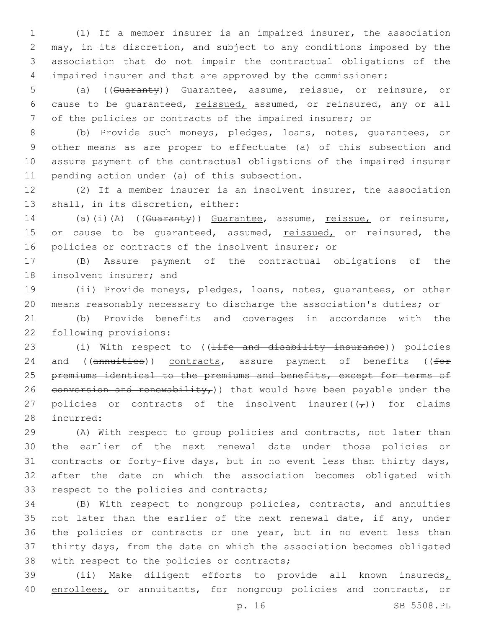(1) If a member insurer is an impaired insurer, the association may, in its discretion, and subject to any conditions imposed by the association that do not impair the contractual obligations of the impaired insurer and that are approved by the commissioner:

5 (a) ((Guaranty)) Guarantee, assume, reissue, or reinsure, or 6 cause to be guaranteed, reissued, assumed, or reinsured, any or all 7 of the policies or contracts of the impaired insurer; or

 (b) Provide such moneys, pledges, loans, notes, guarantees, or other means as are proper to effectuate (a) of this subsection and assure payment of the contractual obligations of the impaired insurer 11 pending action under (a) of this subsection.

12 (2) If a member insurer is an insolvent insurer, the association 13 shall, in its discretion, either:

14 (a)(i)(A) ((Guaranty)) Guarantee, assume, reissue, or reinsure, 15 or cause to be quaranteed, assumed, reissued, or reinsured, the 16 policies or contracts of the insolvent insurer; or

17 (B) Assure payment of the contractual obligations of the 18 insolvent insurer; and

19 (ii) Provide moneys, pledges, loans, notes, guarantees, or other 20 means reasonably necessary to discharge the association's duties; or

21 (b) Provide benefits and coverages in accordance with the 22 following provisions:

23 (i) With respect to ((<del>life and disability insurance</del>)) policies 24 and ((annuities)) contracts, assure payment of benefits ((for 25 premiums identical to the premiums and benefits, except for terms of 26 conversion and renewability,) that would have been payable under the 27 policies or contracts of the insolvent insurer( $(\tau)$ ) for claims 28 incurred:

 (A) With respect to group policies and contracts, not later than the earlier of the next renewal date under those policies or contracts or forty-five days, but in no event less than thirty days, after the date on which the association becomes obligated with 33 respect to the policies and contracts;

34 (B) With respect to nongroup policies, contracts, and annuities 35 not later than the earlier of the next renewal date, if any, under 36 the policies or contracts or one year, but in no event less than 37 thirty days, from the date on which the association becomes obligated 38 with respect to the policies or contracts;

39 (ii) Make diligent efforts to provide all known insureds, 40 enrollees, or annuitants, for nongroup policies and contracts, or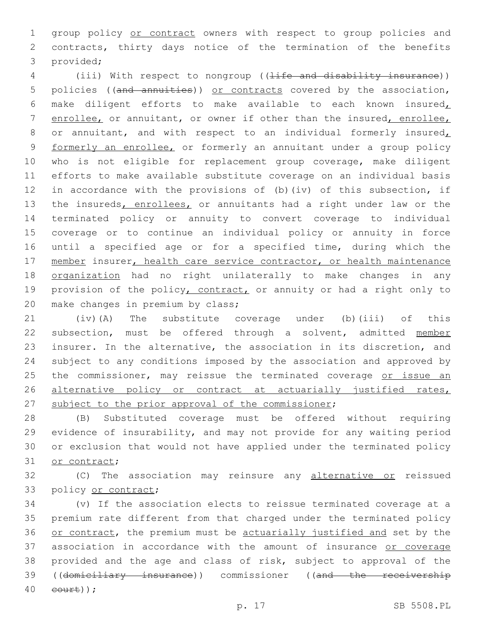group policy or contract owners with respect to group policies and contracts, thirty days notice of the termination of the benefits 3 provided;

4 (iii) With respect to nongroup ((<del>life and disability insurance</del>)) 5 policies ((and annuities)) or contracts covered by the association, make diligent efforts to make available to each known insured, enrollee, or annuitant, or owner if other than the insured, enrollee, 8 or annuitant, and with respect to an individual formerly insured, formerly an enrollee, or formerly an annuitant under a group policy who is not eligible for replacement group coverage, make diligent efforts to make available substitute coverage on an individual basis in accordance with the provisions of (b)(iv) of this subsection, if 13 the insureds, enrollees, or annuitants had a right under law or the terminated policy or annuity to convert coverage to individual coverage or to continue an individual policy or annuity in force until a specified age or for a specified time, during which the 17 member insurer, health care service contractor, or health maintenance organization had no right unilaterally to make changes in any 19 provision of the policy, contract, or annuity or had a right only to 20 make changes in premium by class;

 (iv)(A) The substitute coverage under (b)(iii) of this subsection, must be offered through a solvent, admitted member insurer. In the alternative, the association in its discretion, and subject to any conditions imposed by the association and approved by 25 the commissioner, may reissue the terminated coverage or issue an 26 alternative policy or contract at actuarially justified rates, 27 subject to the prior approval of the commissioner;

 (B) Substituted coverage must be offered without requiring evidence of insurability, and may not provide for any waiting period or exclusion that would not have applied under the terminated policy 31 or contract;

32 (C) The association may reinsure any alternative or reissued 33 policy or contract;

 (v) If the association elects to reissue terminated coverage at a premium rate different from that charged under the terminated policy or contract, the premium must be actuarially justified and set by the association in accordance with the amount of insurance or coverage provided and the age and class of risk, subject to approval of the 39 ((domiciliary insurance)) commissioner ((and the receivership eourt));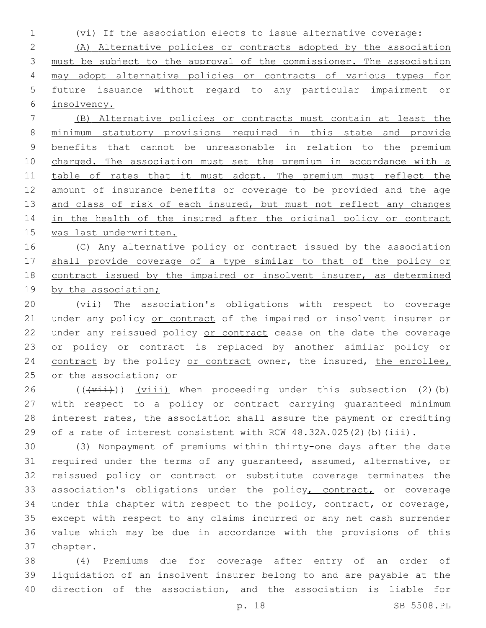1 (vi) If the association elects to issue alternative coverage:

 (A) Alternative policies or contracts adopted by the association must be subject to the approval of the commissioner. The association may adopt alternative policies or contracts of various types for future issuance without regard to any particular impairment or insolvency.

7 (B) Alternative policies or contracts must contain at least the 8 minimum statutory provisions required in this state and provide 9 benefits that cannot be unreasonable in relation to the premium 10 charged. The association must set the premium in accordance with a 11 table of rates that it must adopt. The premium must reflect the 12 amount of insurance benefits or coverage to be provided and the age 13 and class of risk of each insured, but must not reflect any changes 14 in the health of the insured after the original policy or contract 15 was last underwritten.

16 (C) Any alternative policy or contract issued by the association 17 shall provide coverage of a type similar to that of the policy or 18 contract issued by the impaired or insolvent insurer, as determined 19 by the association;

20 (vii) The association's obligations with respect to coverage 21 under any policy or contract of the impaired or insolvent insurer or 22 under any reissued policy or contract cease on the date the coverage 23 or policy or contract is replaced by another similar policy or 24 contract by the policy or contract owner, the insured, the enrollee, 25 or the association; or

 ( $(\overrightarrow{vii})$ ) (viii) When proceeding under this subsection (2)(b) with respect to a policy or contract carrying guaranteed minimum interest rates, the association shall assure the payment or crediting 29 of a rate of interest consistent with RCW 48.32A.025(2)(b)(iii).

30 (3) Nonpayment of premiums within thirty-one days after the date 31 required under the terms of any quaranteed, assumed, alternative, or 32 reissued policy or contract or substitute coverage terminates the 33 association's obligations under the policy, contract, or coverage 34 under this chapter with respect to the policy, contract, or coverage, 35 except with respect to any claims incurred or any net cash surrender 36 value which may be due in accordance with the provisions of this 37 chapter.

38 (4) Premiums due for coverage after entry of an order of 39 liquidation of an insolvent insurer belong to and are payable at the 40 direction of the association, and the association is liable for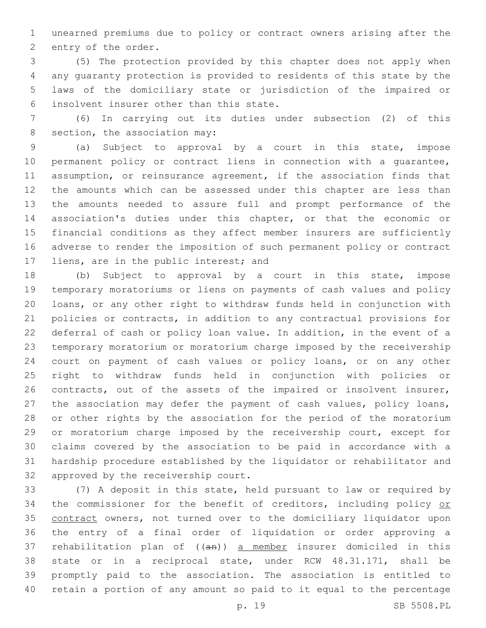unearned premiums due to policy or contract owners arising after the 2 entry of the order.

 (5) The protection provided by this chapter does not apply when any guaranty protection is provided to residents of this state by the laws of the domiciliary state or jurisdiction of the impaired or insolvent insurer other than this state.6

 (6) In carrying out its duties under subsection (2) of this 8 section, the association may:

 (a) Subject to approval by a court in this state, impose permanent policy or contract liens in connection with a guarantee, assumption, or reinsurance agreement, if the association finds that the amounts which can be assessed under this chapter are less than the amounts needed to assure full and prompt performance of the association's duties under this chapter, or that the economic or financial conditions as they affect member insurers are sufficiently adverse to render the imposition of such permanent policy or contract 17 liens, are in the public interest; and

 (b) Subject to approval by a court in this state, impose temporary moratoriums or liens on payments of cash values and policy loans, or any other right to withdraw funds held in conjunction with policies or contracts, in addition to any contractual provisions for deferral of cash or policy loan value. In addition, in the event of a temporary moratorium or moratorium charge imposed by the receivership court on payment of cash values or policy loans, or on any other right to withdraw funds held in conjunction with policies or contracts, out of the assets of the impaired or insolvent insurer, the association may defer the payment of cash values, policy loans, or other rights by the association for the period of the moratorium or moratorium charge imposed by the receivership court, except for claims covered by the association to be paid in accordance with a hardship procedure established by the liquidator or rehabilitator and 32 approved by the receivership court.

 (7) A deposit in this state, held pursuant to law or required by 34 the commissioner for the benefit of creditors, including policy or contract owners, not turned over to the domiciliary liquidator upon the entry of a final order of liquidation or order approving a 37 rehabilitation plan of  $((an))$  a member insurer domiciled in this state or in a reciprocal state, under RCW 48.31.171, shall be promptly paid to the association. The association is entitled to retain a portion of any amount so paid to it equal to the percentage

p. 19 SB 5508.PL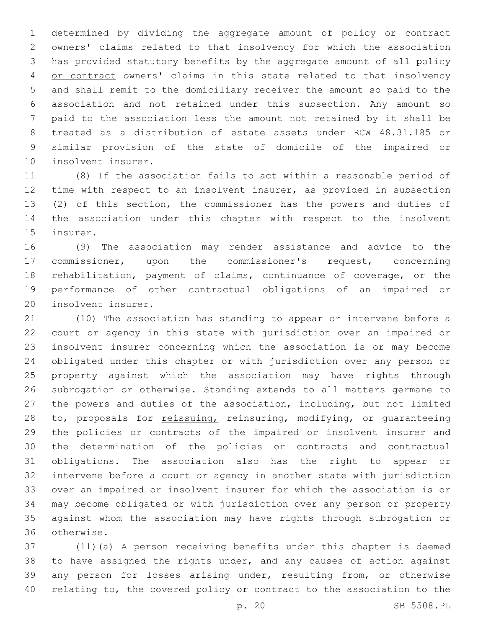1 determined by dividing the aggregate amount of policy or contract owners' claims related to that insolvency for which the association has provided statutory benefits by the aggregate amount of all policy 4 or contract owners' claims in this state related to that insolvency and shall remit to the domiciliary receiver the amount so paid to the association and not retained under this subsection. Any amount so paid to the association less the amount not retained by it shall be treated as a distribution of estate assets under RCW 48.31.185 or similar provision of the state of domicile of the impaired or 10 insolvent insurer.

 (8) If the association fails to act within a reasonable period of time with respect to an insolvent insurer, as provided in subsection (2) of this section, the commissioner has the powers and duties of the association under this chapter with respect to the insolvent 15 insurer.

 (9) The association may render assistance and advice to the commissioner, upon the commissioner's request, concerning rehabilitation, payment of claims, continuance of coverage, or the performance of other contractual obligations of an impaired or 20 insolvent insurer.

 (10) The association has standing to appear or intervene before a court or agency in this state with jurisdiction over an impaired or insolvent insurer concerning which the association is or may become obligated under this chapter or with jurisdiction over any person or property against which the association may have rights through subrogation or otherwise. Standing extends to all matters germane to the powers and duties of the association, including, but not limited 28 to, proposals for reissuing, reinsuring, modifying, or quaranteeing the policies or contracts of the impaired or insolvent insurer and 30 the determination of the policies or contracts and contractual obligations. The association also has the right to appear or intervene before a court or agency in another state with jurisdiction over an impaired or insolvent insurer for which the association is or may become obligated or with jurisdiction over any person or property against whom the association may have rights through subrogation or otherwise.36

 (11)(a) A person receiving benefits under this chapter is deemed to have assigned the rights under, and any causes of action against any person for losses arising under, resulting from, or otherwise relating to, the covered policy or contract to the association to the

p. 20 SB 5508.PL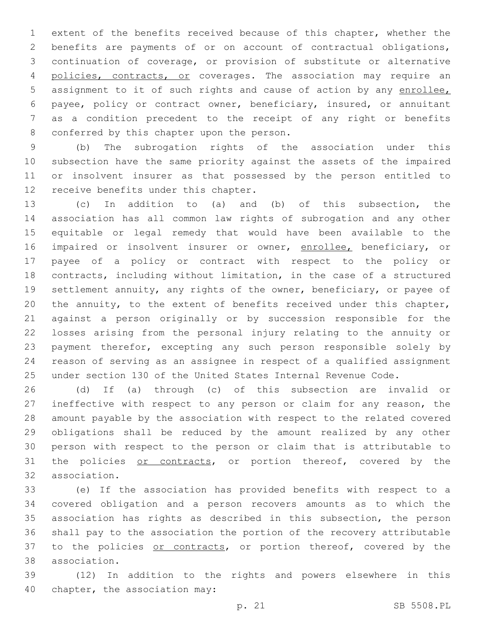extent of the benefits received because of this chapter, whether the benefits are payments of or on account of contractual obligations, continuation of coverage, or provision of substitute or alternative 4 policies, contracts, or coverages. The association may require an assignment to it of such rights and cause of action by any enrollee, payee, policy or contract owner, beneficiary, insured, or annuitant as a condition precedent to the receipt of any right or benefits 8 conferred by this chapter upon the person.

 (b) The subrogation rights of the association under this subsection have the same priority against the assets of the impaired or insolvent insurer as that possessed by the person entitled to 12 receive benefits under this chapter.

 (c) In addition to (a) and (b) of this subsection, the association has all common law rights of subrogation and any other equitable or legal remedy that would have been available to the 16 impaired or insolvent insurer or owner, enrollee, beneficiary, or payee of a policy or contract with respect to the policy or contracts, including without limitation, in the case of a structured settlement annuity, any rights of the owner, beneficiary, or payee of the annuity, to the extent of benefits received under this chapter, against a person originally or by succession responsible for the losses arising from the personal injury relating to the annuity or payment therefor, excepting any such person responsible solely by reason of serving as an assignee in respect of a qualified assignment under section 130 of the United States Internal Revenue Code.

 (d) If (a) through (c) of this subsection are invalid or ineffective with respect to any person or claim for any reason, the amount payable by the association with respect to the related covered obligations shall be reduced by the amount realized by any other person with respect to the person or claim that is attributable to 31 the policies or contracts, or portion thereof, covered by the 32 association.

 (e) If the association has provided benefits with respect to a covered obligation and a person recovers amounts as to which the association has rights as described in this subsection, the person shall pay to the association the portion of the recovery attributable 37 to the policies or contracts, or portion thereof, covered by the association.38

 (12) In addition to the rights and powers elsewhere in this 40 chapter, the association may: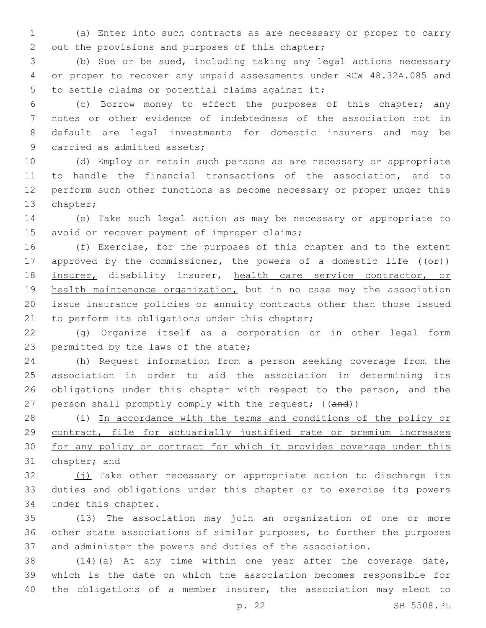1 (a) Enter into such contracts as are necessary or proper to carry 2 out the provisions and purposes of this chapter;

3 (b) Sue or be sued, including taking any legal actions necessary 4 or proper to recover any unpaid assessments under RCW 48.32A.085 and 5 to settle claims or potential claims against it;

 (c) Borrow money to effect the purposes of this chapter; any notes or other evidence of indebtedness of the association not in default are legal investments for domestic insurers and may be 9 carried as admitted assets;

 (d) Employ or retain such persons as are necessary or appropriate to handle the financial transactions of the association, and to perform such other functions as become necessary or proper under this 13 chapter;

14 (e) Take such legal action as may be necessary or appropriate to 15 avoid or recover payment of improper claims;

16 (f) Exercise, for the purposes of this chapter and to the extent 17 approved by the commissioner, the powers of a domestic life  $((\theta \cdot \hat{r}))$ 18 insurer, disability insurer, health care service contractor, or 19 health maintenance organization, but in no case may the association 20 issue insurance policies or annuity contracts other than those issued 21 to perform its obligations under this chapter;

22 (g) Organize itself as a corporation or in other legal form 23 permitted by the laws of the state;

24 (h) Request information from a person seeking coverage from the 25 association in order to aid the association in determining its 26 obligations under this chapter with respect to the person, and the 27 person shall promptly comply with the request; ((and))

28 (i) In accordance with the terms and conditions of the policy or 29 contract, file for actuarially justified rate or premium increases 30 for any policy or contract for which it provides coverage under this 31 chapter; and

32 (j) Take other necessary or appropriate action to discharge its 33 duties and obligations under this chapter or to exercise its powers 34 under this chapter.

35 (13) The association may join an organization of one or more 36 other state associations of similar purposes, to further the purposes 37 and administer the powers and duties of the association.

38 (14)(a) At any time within one year after the coverage date, 39 which is the date on which the association becomes responsible for 40 the obligations of a member insurer, the association may elect to

p. 22 SB 5508.PL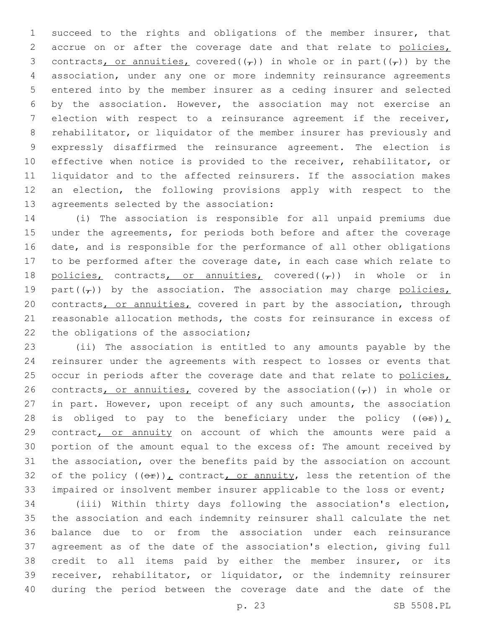succeed to the rights and obligations of the member insurer, that 2 accrue on or after the coverage date and that relate to policies, 3 contracts, or annuities, covered( $(\tau)$ ) in whole or in part( $(\tau)$ ) by the association, under any one or more indemnity reinsurance agreements entered into by the member insurer as a ceding insurer and selected by the association. However, the association may not exercise an election with respect to a reinsurance agreement if the receiver, rehabilitator, or liquidator of the member insurer has previously and expressly disaffirmed the reinsurance agreement. The election is effective when notice is provided to the receiver, rehabilitator, or liquidator and to the affected reinsurers. If the association makes an election, the following provisions apply with respect to the 13 agreements selected by the association:

 (i) The association is responsible for all unpaid premiums due under the agreements, for periods both before and after the coverage date, and is responsible for the performance of all other obligations to be performed after the coverage date, in each case which relate to 18 policies, contracts, or annuities, covered( $(\tau)$ ) in whole or in 19 part( $(\tau)$ ) by the association. The association may charge policies, 20 contracts, or annuities, covered in part by the association, through reasonable allocation methods, the costs for reinsurance in excess of 22 the obligations of the association;

 (ii) The association is entitled to any amounts payable by the reinsurer under the agreements with respect to losses or events that occur in periods after the coverage date and that relate to policies, 26 contracts, or annuities, covered by the association  $(\tau)$ ) in whole or in part. However, upon receipt of any such amounts, the association 28 is obliged to pay to the beneficiary under the policy  $((\theta \cdot \mathbf{r}))$ 29 contract, or annuity on account of which the amounts were paid a portion of the amount equal to the excess of: The amount received by the association, over the benefits paid by the association on account 32 of the policy  $((e^E))^L$  contract, or annuity, less the retention of the impaired or insolvent member insurer applicable to the loss or event;

 (iii) Within thirty days following the association's election, the association and each indemnity reinsurer shall calculate the net balance due to or from the association under each reinsurance agreement as of the date of the association's election, giving full credit to all items paid by either the member insurer, or its receiver, rehabilitator, or liquidator, or the indemnity reinsurer during the period between the coverage date and the date of the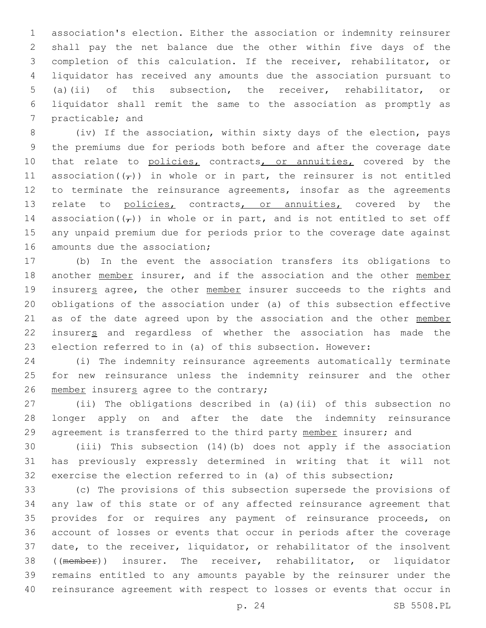association's election. Either the association or indemnity reinsurer shall pay the net balance due the other within five days of the completion of this calculation. If the receiver, rehabilitator, or liquidator has received any amounts due the association pursuant to (a)(ii) of this subsection, the receiver, rehabilitator, or liquidator shall remit the same to the association as promptly as 7 practicable; and

 (iv) If the association, within sixty days of the election, pays the premiums due for periods both before and after the coverage date 10 that relate to policies, contracts, or annuities, covered by the 11 association( $(\tau)$ ) in whole or in part, the reinsurer is not entitled 12 to terminate the reinsurance agreements, insofar as the agreements 13 relate to policies, contracts, or annuities, covered by the 14 association( $(\tau)$ ) in whole or in part, and is not entitled to set off any unpaid premium due for periods prior to the coverage date against 16 amounts due the association;

 (b) In the event the association transfers its obligations to 18 another member insurer, and if the association and the other member 19 insurers agree, the other member insurer succeeds to the rights and obligations of the association under (a) of this subsection effective as of the date agreed upon by the association and the other member insurers and regardless of whether the association has made the election referred to in (a) of this subsection. However:

 (i) The indemnity reinsurance agreements automatically terminate for new reinsurance unless the indemnity reinsurer and the other 26 member insurers agree to the contrary;

 (ii) The obligations described in (a)(ii) of this subsection no longer apply on and after the date the indemnity reinsurance 29 agreement is transferred to the third party member insurer; and

 (iii) This subsection (14)(b) does not apply if the association has previously expressly determined in writing that it will not exercise the election referred to in (a) of this subsection;

 (c) The provisions of this subsection supersede the provisions of any law of this state or of any affected reinsurance agreement that provides for or requires any payment of reinsurance proceeds, on account of losses or events that occur in periods after the coverage date, to the receiver, liquidator, or rehabilitator of the insolvent ((member)) insurer. The receiver, rehabilitator, or liquidator remains entitled to any amounts payable by the reinsurer under the reinsurance agreement with respect to losses or events that occur in

p. 24 SB 5508.PL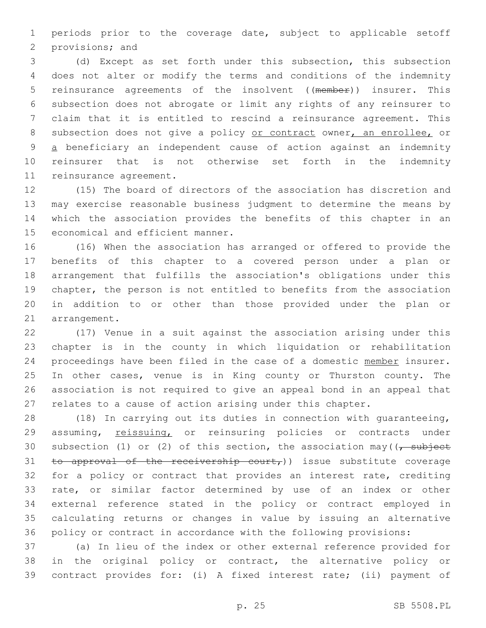periods prior to the coverage date, subject to applicable setoff 2 provisions; and

 (d) Except as set forth under this subsection, this subsection does not alter or modify the terms and conditions of the indemnity reinsurance agreements of the insolvent ((member)) insurer. This subsection does not abrogate or limit any rights of any reinsurer to claim that it is entitled to rescind a reinsurance agreement. This 8 subsection does not give a policy or contract owner, an enrollee, or a beneficiary an independent cause of action against an indemnity reinsurer that is not otherwise set forth in the indemnity 11 reinsurance agreement.

 (15) The board of directors of the association has discretion and may exercise reasonable business judgment to determine the means by which the association provides the benefits of this chapter in an 15 economical and efficient manner.

 (16) When the association has arranged or offered to provide the benefits of this chapter to a covered person under a plan or arrangement that fulfills the association's obligations under this chapter, the person is not entitled to benefits from the association in addition to or other than those provided under the plan or 21 arrangement.

 (17) Venue in a suit against the association arising under this chapter is in the county in which liquidation or rehabilitation 24 proceedings have been filed in the case of a domestic member insurer. In other cases, venue is in King county or Thurston county. The association is not required to give an appeal bond in an appeal that relates to a cause of action arising under this chapter.

 (18) In carrying out its duties in connection with guaranteeing, 29 assuming, reissuing, or reinsuring policies or contracts under 30 subsection (1) or (2) of this section, the association may  $\left(\frac{1}{\epsilon}, \frac{1}{\epsilon}\right)$ 31 to approval of the receivership court,)) issue substitute coverage 32 for a policy or contract that provides an interest rate, crediting rate, or similar factor determined by use of an index or other external reference stated in the policy or contract employed in calculating returns or changes in value by issuing an alternative policy or contract in accordance with the following provisions:

 (a) In lieu of the index or other external reference provided for in the original policy or contract, the alternative policy or contract provides for: (i) A fixed interest rate; (ii) payment of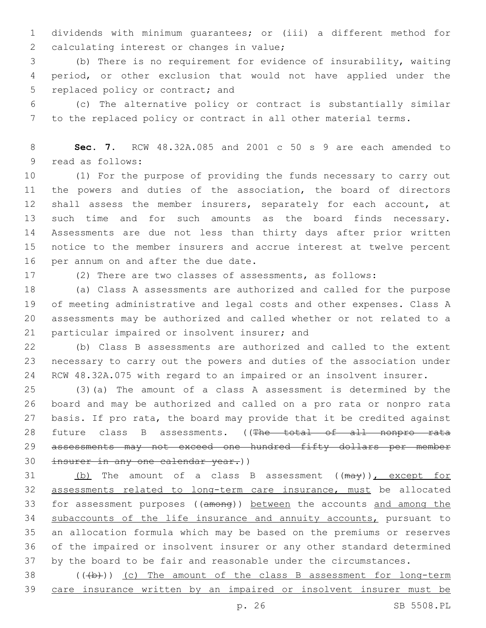dividends with minimum guarantees; or (iii) a different method for 2 calculating interest or changes in value;

 (b) There is no requirement for evidence of insurability, waiting period, or other exclusion that would not have applied under the 5 replaced policy or contract; and

 (c) The alternative policy or contract is substantially similar to the replaced policy or contract in all other material terms.

 **Sec. 7.** RCW 48.32A.085 and 2001 c 50 s 9 are each amended to 9 read as follows:

 (1) For the purpose of providing the funds necessary to carry out the powers and duties of the association, the board of directors shall assess the member insurers, separately for each account, at such time and for such amounts as the board finds necessary. Assessments are due not less than thirty days after prior written notice to the member insurers and accrue interest at twelve percent 16 per annum on and after the due date.

(2) There are two classes of assessments, as follows:

 (a) Class A assessments are authorized and called for the purpose of meeting administrative and legal costs and other expenses. Class A assessments may be authorized and called whether or not related to a 21 particular impaired or insolvent insurer; and

 (b) Class B assessments are authorized and called to the extent necessary to carry out the powers and duties of the association under RCW 48.32A.075 with regard to an impaired or an insolvent insurer.

 (3)(a) The amount of a class A assessment is determined by the board and may be authorized and called on a pro rata or nonpro rata basis. If pro rata, the board may provide that it be credited against 28 future class B assessments. ((The total of all nonpro rata 29 assessments may not exceed one hundred fifty dollars per member 30 insurer in any one calendar year.))

31 (b) The amount of a class B assessment ((may)), except for assessments related to long-term care insurance, must be allocated for assessment purposes ((among)) between the accounts and among the 34 subaccounts of the life insurance and annuity accounts, pursuant to an allocation formula which may be based on the premiums or reserves of the impaired or insolvent insurer or any other standard determined by the board to be fair and reasonable under the circumstances.

 ( $(\frac{1}{2})$ ) (c) The amount of the class B assessment for long-term care insurance written by an impaired or insolvent insurer must be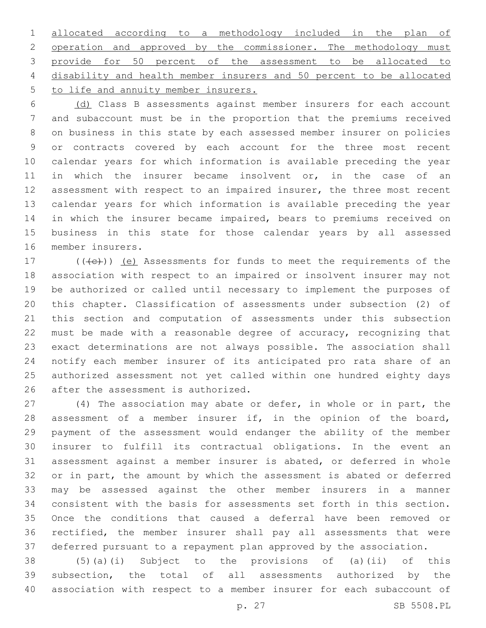allocated according to a methodology included in the plan of 2 operation and approved by the commissioner. The methodology must provide for 50 percent of the assessment to be allocated to disability and health member insurers and 50 percent to be allocated 5 to life and annuity member insurers.

 (d) Class B assessments against member insurers for each account and subaccount must be in the proportion that the premiums received on business in this state by each assessed member insurer on policies or contracts covered by each account for the three most recent calendar years for which information is available preceding the year in which the insurer became insolvent or, in the case of an 12 assessment with respect to an impaired insurer, the three most recent calendar years for which information is available preceding the year in which the insurer became impaired, bears to premiums received on business in this state for those calendar years by all assessed 16 member insurers.

 $(17$  ( $(\overline{\left\langle e\right\rangle})$ ) (e) Assessments for funds to meet the requirements of the association with respect to an impaired or insolvent insurer may not be authorized or called until necessary to implement the purposes of this chapter. Classification of assessments under subsection (2) of this section and computation of assessments under this subsection must be made with a reasonable degree of accuracy, recognizing that exact determinations are not always possible. The association shall notify each member insurer of its anticipated pro rata share of an authorized assessment not yet called within one hundred eighty days 26 after the assessment is authorized.

 (4) The association may abate or defer, in whole or in part, the assessment of a member insurer if, in the opinion of the board, payment of the assessment would endanger the ability of the member insurer to fulfill its contractual obligations. In the event an assessment against a member insurer is abated, or deferred in whole or in part, the amount by which the assessment is abated or deferred may be assessed against the other member insurers in a manner consistent with the basis for assessments set forth in this section. Once the conditions that caused a deferral have been removed or rectified, the member insurer shall pay all assessments that were deferred pursuant to a repayment plan approved by the association.

 (5)(a)(i) Subject to the provisions of (a)(ii) of this subsection, the total of all assessments authorized by the association with respect to a member insurer for each subaccount of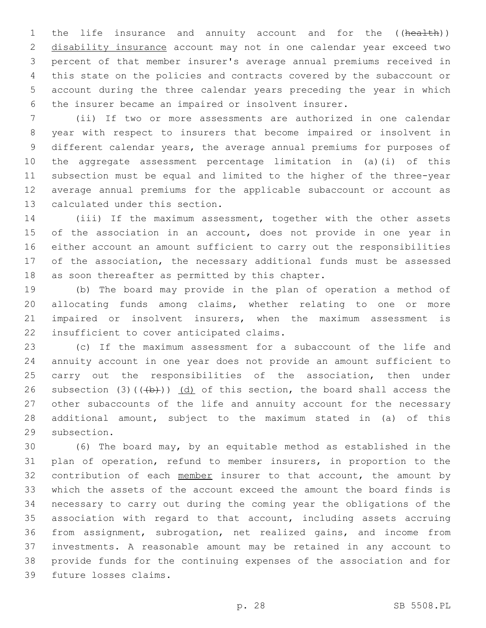1 the life insurance and annuity account and for the ((health)) disability insurance account may not in one calendar year exceed two percent of that member insurer's average annual premiums received in this state on the policies and contracts covered by the subaccount or account during the three calendar years preceding the year in which the insurer became an impaired or insolvent insurer.

 (ii) If two or more assessments are authorized in one calendar year with respect to insurers that become impaired or insolvent in different calendar years, the average annual premiums for purposes of the aggregate assessment percentage limitation in (a)(i) of this subsection must be equal and limited to the higher of the three-year average annual premiums for the applicable subaccount or account as 13 calculated under this section.

 (iii) If the maximum assessment, together with the other assets 15 of the association in an account, does not provide in one year in either account an amount sufficient to carry out the responsibilities of the association, the necessary additional funds must be assessed 18 as soon thereafter as permitted by this chapter.

 (b) The board may provide in the plan of operation a method of allocating funds among claims, whether relating to one or more impaired or insolvent insurers, when the maximum assessment is 22 insufficient to cover anticipated claims.

 (c) If the maximum assessment for a subaccount of the life and annuity account in one year does not provide an amount sufficient to 25 carry out the responsibilities of the association, then under 26 subsection (3)( $(\frac{1}{2})$ ) (d) of this section, the board shall access the other subaccounts of the life and annuity account for the necessary additional amount, subject to the maximum stated in (a) of this 29 subsection.

 (6) The board may, by an equitable method as established in the plan of operation, refund to member insurers, in proportion to the 32 contribution of each member insurer to that account, the amount by which the assets of the account exceed the amount the board finds is necessary to carry out during the coming year the obligations of the association with regard to that account, including assets accruing from assignment, subrogation, net realized gains, and income from investments. A reasonable amount may be retained in any account to provide funds for the continuing expenses of the association and for 39 future losses claims.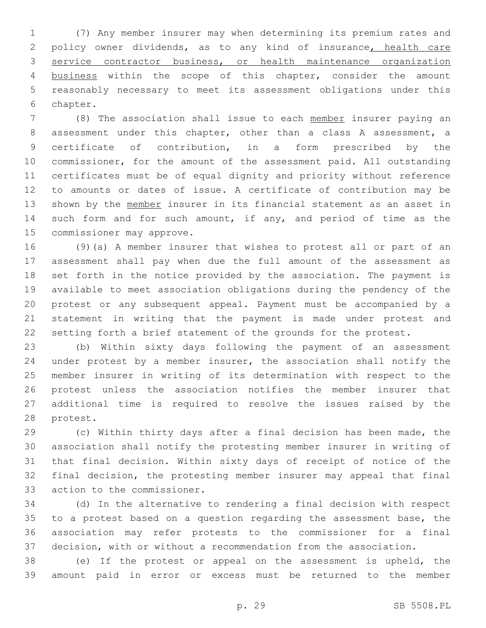(7) Any member insurer may when determining its premium rates and policy owner dividends, as to any kind of insurance, health care service contractor business, or health maintenance organization business within the scope of this chapter, consider the amount reasonably necessary to meet its assessment obligations under this 6 chapter.

 (8) The association shall issue to each member insurer paying an assessment under this chapter, other than a class A assessment, a certificate of contribution, in a form prescribed by the commissioner, for the amount of the assessment paid. All outstanding certificates must be of equal dignity and priority without reference to amounts or dates of issue. A certificate of contribution may be 13 shown by the member insurer in its financial statement as an asset in such form and for such amount, if any, and period of time as the 15 commissioner may approve.

 (9)(a) A member insurer that wishes to protest all or part of an assessment shall pay when due the full amount of the assessment as set forth in the notice provided by the association. The payment is available to meet association obligations during the pendency of the protest or any subsequent appeal. Payment must be accompanied by a statement in writing that the payment is made under protest and setting forth a brief statement of the grounds for the protest.

 (b) Within sixty days following the payment of an assessment under protest by a member insurer, the association shall notify the member insurer in writing of its determination with respect to the protest unless the association notifies the member insurer that additional time is required to resolve the issues raised by the 28 protest.

 (c) Within thirty days after a final decision has been made, the association shall notify the protesting member insurer in writing of that final decision. Within sixty days of receipt of notice of the final decision, the protesting member insurer may appeal that final 33 action to the commissioner.

 (d) In the alternative to rendering a final decision with respect to a protest based on a question regarding the assessment base, the association may refer protests to the commissioner for a final decision, with or without a recommendation from the association.

 (e) If the protest or appeal on the assessment is upheld, the amount paid in error or excess must be returned to the member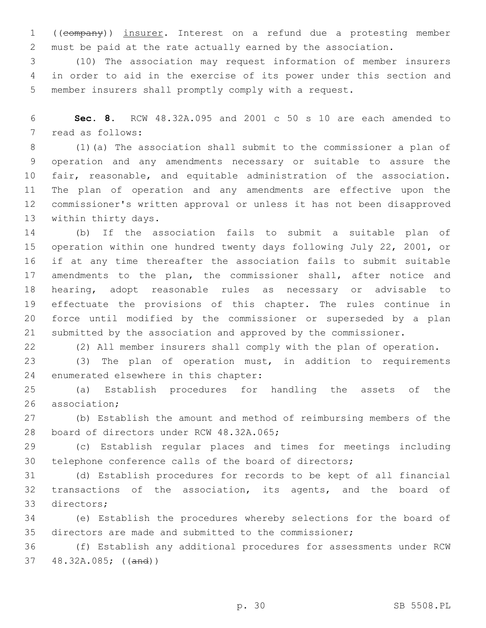((company)) insurer. Interest on a refund due a protesting member must be paid at the rate actually earned by the association.

 (10) The association may request information of member insurers in order to aid in the exercise of its power under this section and member insurers shall promptly comply with a request.

 **Sec. 8.** RCW 48.32A.095 and 2001 c 50 s 10 are each amended to 7 read as follows:

 (1)(a) The association shall submit to the commissioner a plan of operation and any amendments necessary or suitable to assure the fair, reasonable, and equitable administration of the association. The plan of operation and any amendments are effective upon the commissioner's written approval or unless it has not been disapproved 13 within thirty days.

 (b) If the association fails to submit a suitable plan of operation within one hundred twenty days following July 22, 2001, or if at any time thereafter the association fails to submit suitable amendments to the plan, the commissioner shall, after notice and hearing, adopt reasonable rules as necessary or advisable to effectuate the provisions of this chapter. The rules continue in force until modified by the commissioner or superseded by a plan submitted by the association and approved by the commissioner.

(2) All member insurers shall comply with the plan of operation.

 (3) The plan of operation must, in addition to requirements 24 enumerated elsewhere in this chapter:

 (a) Establish procedures for handling the assets of the 26 association;

 (b) Establish the amount and method of reimbursing members of the 28 board of directors under RCW 48.32A.065;

 (c) Establish regular places and times for meetings including telephone conference calls of the board of directors;

 (d) Establish procedures for records to be kept of all financial transactions of the association, its agents, and the board of 33 directors;

 (e) Establish the procedures whereby selections for the board of directors are made and submitted to the commissioner;

 (f) Establish any additional procedures for assessments under RCW 48.32A.085; ((and))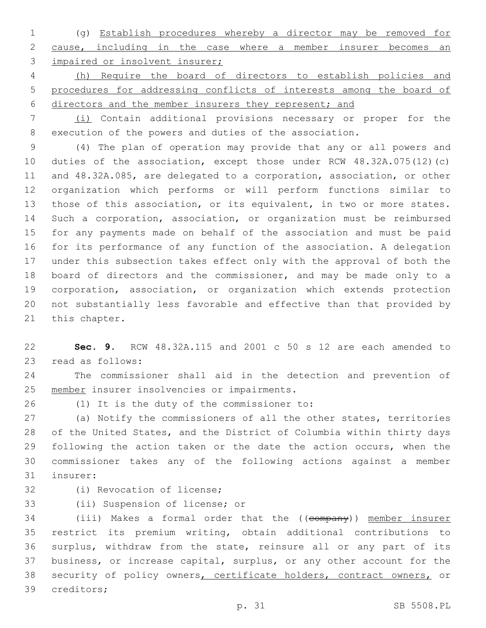(g) Establish procedures whereby a director may be removed for cause, including in the case where a member insurer becomes an 3 impaired or insolvent insurer;

 (h) Require the board of directors to establish policies and procedures for addressing conflicts of interests among the board of directors and the member insurers they represent; and

 (i) Contain additional provisions necessary or proper for the execution of the powers and duties of the association.

 (4) The plan of operation may provide that any or all powers and duties of the association, except those under RCW 48.32A.075(12)(c) and 48.32A.085, are delegated to a corporation, association, or other organization which performs or will perform functions similar to those of this association, or its equivalent, in two or more states. Such a corporation, association, or organization must be reimbursed for any payments made on behalf of the association and must be paid for its performance of any function of the association. A delegation under this subsection takes effect only with the approval of both the board of directors and the commissioner, and may be made only to a corporation, association, or organization which extends protection not substantially less favorable and effective than that provided by 21 this chapter.

 **Sec. 9.** RCW 48.32A.115 and 2001 c 50 s 12 are each amended to 23 read as follows:

 The commissioner shall aid in the detection and prevention of 25 member insurer insolvencies or impairments.

(1) It is the duty of the commissioner to:26

 (a) Notify the commissioners of all the other states, territories of the United States, and the District of Columbia within thirty days 29 following the action taken or the date the action occurs, when the commissioner takes any of the following actions against a member 31 insurer:

32 (i) Revocation of license;

33 (ii) Suspension of license; or

34 (iii) Makes a formal order that the ((company)) member insurer restrict its premium writing, obtain additional contributions to surplus, withdraw from the state, reinsure all or any part of its business, or increase capital, surplus, or any other account for the 38 security of policy owners, certificate holders, contract owners, or 39 creditors;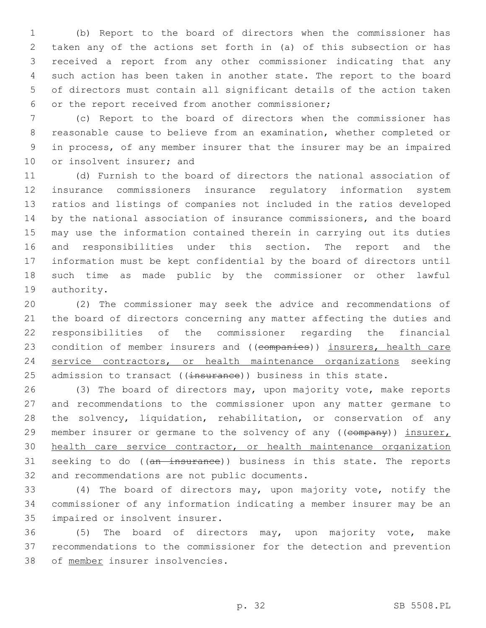(b) Report to the board of directors when the commissioner has taken any of the actions set forth in (a) of this subsection or has received a report from any other commissioner indicating that any such action has been taken in another state. The report to the board of directors must contain all significant details of the action taken or the report received from another commissioner;6

 (c) Report to the board of directors when the commissioner has reasonable cause to believe from an examination, whether completed or in process, of any member insurer that the insurer may be an impaired 10 or insolvent insurer; and

 (d) Furnish to the board of directors the national association of insurance commissioners insurance regulatory information system ratios and listings of companies not included in the ratios developed by the national association of insurance commissioners, and the board may use the information contained therein in carrying out its duties and responsibilities under this section. The report and the information must be kept confidential by the board of directors until such time as made public by the commissioner or other lawful 19 authority.

 (2) The commissioner may seek the advice and recommendations of the board of directors concerning any matter affecting the duties and responsibilities of the commissioner regarding the financial 23 condition of member insurers and ((companies)) insurers, health care service contractors, or health maintenance organizations seeking 25 admission to transact ((insurance)) business in this state.

 (3) The board of directors may, upon majority vote, make reports and recommendations to the commissioner upon any matter germane to the solvency, liquidation, rehabilitation, or conservation of any 29 member insurer or germane to the solvency of any ((company)) insurer, health care service contractor, or health maintenance organization 31 seeking to do ((an insurance)) business in this state. The reports 32 and recommendations are not public documents.

 (4) The board of directors may, upon majority vote, notify the commissioner of any information indicating a member insurer may be an 35 impaired or insolvent insurer.

 (5) The board of directors may, upon majority vote, make recommendations to the commissioner for the detection and prevention 38 of member insurer insolvencies.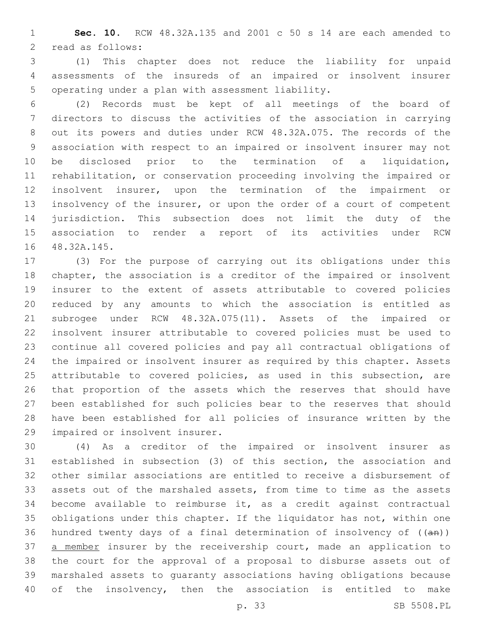**Sec. 10.** RCW 48.32A.135 and 2001 c 50 s 14 are each amended to 2 read as follows:

 (1) This chapter does not reduce the liability for unpaid assessments of the insureds of an impaired or insolvent insurer 5 operating under a plan with assessment liability.

 (2) Records must be kept of all meetings of the board of directors to discuss the activities of the association in carrying out its powers and duties under RCW 48.32A.075. The records of the association with respect to an impaired or insolvent insurer may not be disclosed prior to the termination of a liquidation, rehabilitation, or conservation proceeding involving the impaired or insolvent insurer, upon the termination of the impairment or insolvency of the insurer, or upon the order of a court of competent jurisdiction. This subsection does not limit the duty of the association to render a report of its activities under RCW 16 48.32A.145.

 (3) For the purpose of carrying out its obligations under this chapter, the association is a creditor of the impaired or insolvent insurer to the extent of assets attributable to covered policies reduced by any amounts to which the association is entitled as subrogee under RCW 48.32A.075(11). Assets of the impaired or insolvent insurer attributable to covered policies must be used to continue all covered policies and pay all contractual obligations of the impaired or insolvent insurer as required by this chapter. Assets attributable to covered policies, as used in this subsection, are that proportion of the assets which the reserves that should have been established for such policies bear to the reserves that should have been established for all policies of insurance written by the 29 impaired or insolvent insurer.

 (4) As a creditor of the impaired or insolvent insurer as established in subsection (3) of this section, the association and other similar associations are entitled to receive a disbursement of assets out of the marshaled assets, from time to time as the assets become available to reimburse it, as a credit against contractual obligations under this chapter. If the liquidator has not, within one 36 hundred twenty days of a final determination of insolvency of  $((an))$ 37 a member insurer by the receivership court, made an application to the court for the approval of a proposal to disburse assets out of marshaled assets to guaranty associations having obligations because of the insolvency, then the association is entitled to make

p. 33 SB 5508.PL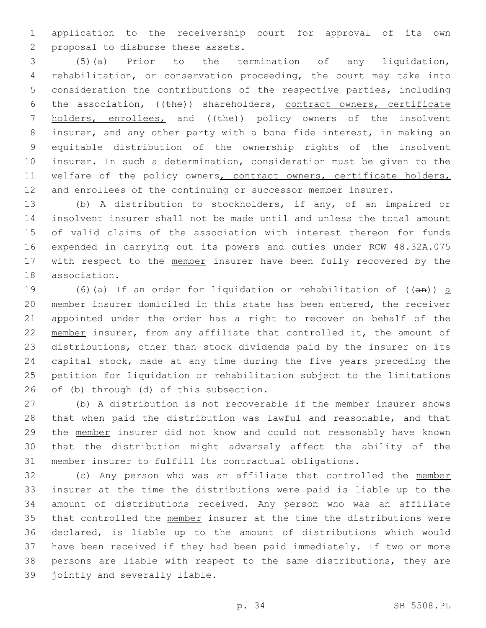application to the receivership court for approval of its own 2 proposal to disburse these assets.

 (5)(a) Prior to the termination of any liquidation, rehabilitation, or conservation proceeding, the court may take into consideration the contributions of the respective parties, including 6 the association,  $((the)$ ) shareholders, contract owners, certificate 7 holders, enrollees, and ((the)) policy owners of the insolvent insurer, and any other party with a bona fide interest, in making an equitable distribution of the ownership rights of the insolvent insurer. In such a determination, consideration must be given to the 11 welfare of the policy owners, contract owners, certificate holders, 12 and enrollees of the continuing or successor member insurer.

 (b) A distribution to stockholders, if any, of an impaired or insolvent insurer shall not be made until and unless the total amount of valid claims of the association with interest thereon for funds expended in carrying out its powers and duties under RCW 48.32A.075 17 with respect to the member insurer have been fully recovered by the 18 association.

19 (6)(a) If an order for liquidation or rehabilitation of  $((an))$  a member insurer domiciled in this state has been entered, the receiver appointed under the order has a right to recover on behalf of the 22 member insurer, from any affiliate that controlled it, the amount of distributions, other than stock dividends paid by the insurer on its capital stock, made at any time during the five years preceding the petition for liquidation or rehabilitation subject to the limitations 26 of (b) through (d) of this subsection.

27 (b) A distribution is not recoverable if the member insurer shows that when paid the distribution was lawful and reasonable, and that the member insurer did not know and could not reasonably have known that the distribution might adversely affect the ability of the member insurer to fulfill its contractual obligations.

 (c) Any person who was an affiliate that controlled the member insurer at the time the distributions were paid is liable up to the amount of distributions received. Any person who was an affiliate 35 that controlled the member insurer at the time the distributions were declared, is liable up to the amount of distributions which would have been received if they had been paid immediately. If two or more persons are liable with respect to the same distributions, they are 39 jointly and severally liable.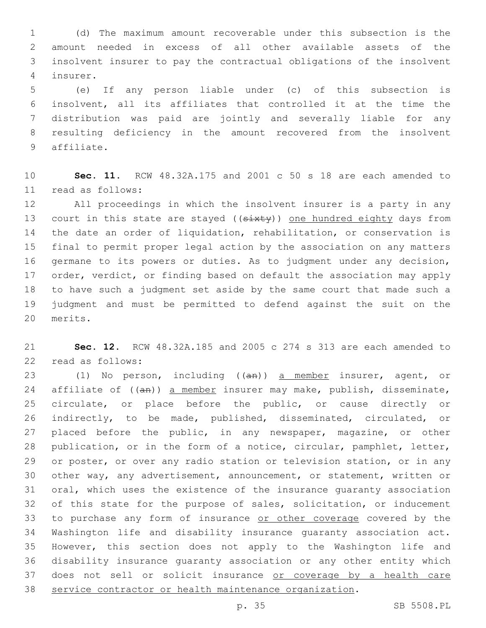(d) The maximum amount recoverable under this subsection is the amount needed in excess of all other available assets of the insolvent insurer to pay the contractual obligations of the insolvent insurer.4

 (e) If any person liable under (c) of this subsection is insolvent, all its affiliates that controlled it at the time the distribution was paid are jointly and severally liable for any resulting deficiency in the amount recovered from the insolvent 9 affiliate.

 **Sec. 11.** RCW 48.32A.175 and 2001 c 50 s 18 are each amended to read as follows:11

 All proceedings in which the insolvent insurer is a party in any 13 court in this state are stayed ((sixty)) one hundred eighty days from the date an order of liquidation, rehabilitation, or conservation is final to permit proper legal action by the association on any matters germane to its powers or duties. As to judgment under any decision, order, verdict, or finding based on default the association may apply to have such a judgment set aside by the same court that made such a judgment and must be permitted to defend against the suit on the 20 merits.

 **Sec. 12.** RCW 48.32A.185 and 2005 c 274 s 313 are each amended to 22 read as follows:

23 (1) No person, including ((an)) a member insurer, agent, or 24 affiliate of ((an)) a member insurer may make, publish, disseminate, circulate, or place before the public, or cause directly or indirectly, to be made, published, disseminated, circulated, or placed before the public, in any newspaper, magazine, or other publication, or in the form of a notice, circular, pamphlet, letter, or poster, or over any radio station or television station, or in any other way, any advertisement, announcement, or statement, written or oral, which uses the existence of the insurance guaranty association of this state for the purpose of sales, solicitation, or inducement 33 to purchase any form of insurance or other coverage covered by the Washington life and disability insurance guaranty association act. However, this section does not apply to the Washington life and disability insurance guaranty association or any other entity which 37 does not sell or solicit insurance or coverage by a health care service contractor or health maintenance organization.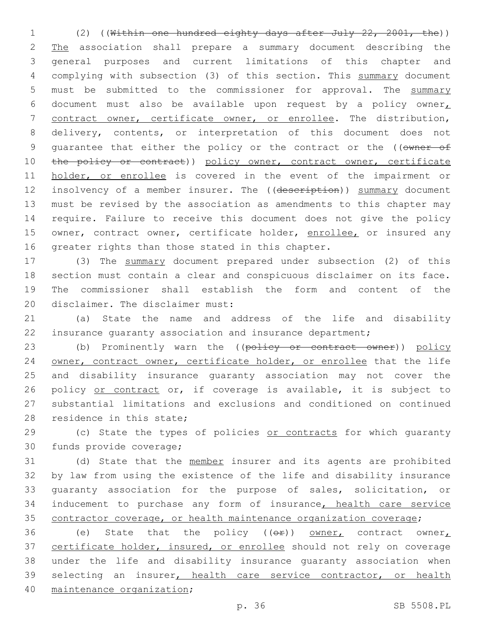1 (2) ((Within one hundred eighty days after July 22, 2001, the)) 2 The association shall prepare a summary document describing the 3 general purposes and current limitations of this chapter and 4 complying with subsection (3) of this section. This summary document 5 must be submitted to the commissioner for approval. The summary 6 document must also be available upon request by a policy owner 7 contract owner, certificate owner, or enrollee. The distribution, 8 delivery, contents, or interpretation of this document does not 9 quarantee that either the policy or the contract or the ((owner of 10 the policy or contract)) policy owner, contract owner, certificate 11 holder, or enrollee is covered in the event of the impairment or 12 insolvency of a member insurer. The ((description)) summary document 13 must be revised by the association as amendments to this chapter may 14 require. Failure to receive this document does not give the policy 15 owner, contract owner, certificate holder, enrollee, or insured any 16 greater rights than those stated in this chapter.

 (3) The summary document prepared under subsection (2) of this section must contain a clear and conspicuous disclaimer on its face. The commissioner shall establish the form and content of the 20 disclaimer. The disclaimer must:

21 (a) State the name and address of the life and disability 22 insurance guaranty association and insurance department;

23 (b) Prominently warn the ((policy or contract owner)) policy 24 owner, contract owner, certificate holder, or enrollee that the life 25 and disability insurance guaranty association may not cover the 26 policy or contract or, if coverage is available, it is subject to 27 substantial limitations and exclusions and conditioned on continued 28 residence in this state;

29 (c) State the types of policies or contracts for which quaranty 30 funds provide coverage;

31 (d) State that the member insurer and its agents are prohibited 32 by law from using the existence of the life and disability insurance 33 guaranty association for the purpose of sales, solicitation, or 34 inducement to purchase any form of insurance, health care service 35 contractor coverage, or health maintenance organization coverage;

36 (e) State that the policy  $(6 + e)$  owner, contract owner, 37 certificate holder, insured, or enrollee should not rely on coverage 38 under the life and disability insurance guaranty association when 39 selecting an insurer, health care service contractor, or health 40 maintenance organization;